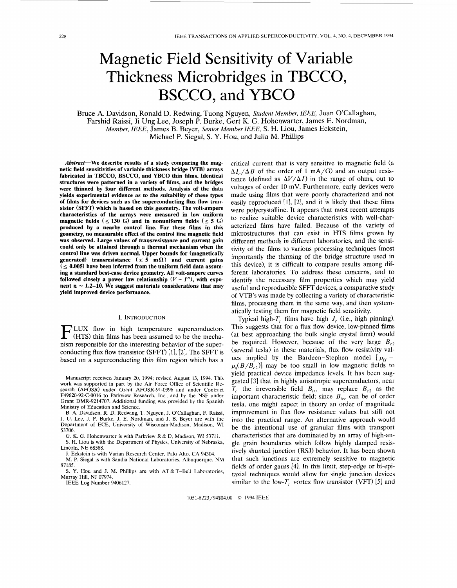# Magnetic Field Sensitivity of Variable Thickness Microbridges in TBCCO, BSCCO, and YBCO

Bruce **A.** Davidson, Ronald D. Redwing, Tuong Nguyen, *Student Member, ZEEE,* Juan O'Callaghan, Farshid Raissi, Ji Ung Lee, Joseph P. Burke, Gert K. G. Hohenwarter, James E. Nordman, *Member, IEEE, James B. Bever, Senior Member IEEE, S. H. Liou, James Eckstein,* Michael P. Siegal, S. **Y.** Hou, and Julia **M.** Phillips

Abstract-We describe results of a study comparing the mag**netic field sensitivities of variable thickness bridge (VTB) arrays fabricated in TBCCO, BSCCO, and YBCO thin films. Identical structures were patterned in a variety of films, and the bridges were thinned by four different methods. Analysis of the data yields experimental evidence as** *to* **the suitability of these types of films for devices such as the superconducting flux flow transistor (SFFT) which is based on this geometry. The volt-ampere characteristics of the arrays were measured in low uniform magnetic fields**  $(\leq 130 \text{ G})$  and in nonuniform fields  $(\leq 5 \text{ G})$ **produced by a nearby control line. For these films in this geometry, no measurable effect of the control line magnetic field was observed. Large values of transresistance and current gain could only be attained through a thermal mechanism when the control line was driven normal. Upper bounds for (magnetically generated)** transresistance  $(\leq 5 \text{ m}\Omega)$  and current gains  $\zeta \leq 0.005$ ) have been inferred from the uniform field data assum**ing a standard best-case device geometry. All volt-ampere curves followed closely a power law relationship**  $(V \sim I^n)$ , with exponent  $n \sim 1.2-10$ . We suggest materials considerations that may **yield improved device performance.** 

## I. INTRODUCTION

LUX flow in high temperature superconductors (HTS) thin films has been assumed to be the mechanism responsible for the interesting behavior of the superconducting **flux** flow transistor (SFFT) [11, [2]. The SFFT is based on a superconducting thin film region which has a

Manuscript received January 20, 1994; revised August 13, 1994. This work was supported in part by the Air Force Office of Scientific Research (AFOSR) under Grant AFOSR-91-0396 and under Contract F49620-92-C-0016 to Parkview Research, Inc., and by the NSF under Grant DMR-9214707. Additional funding was provided by the Spanish Ministry of Education and Science.

**B.** A. Davidson, R. D. Redwing, T. Nguyen, J. O'Callaghan, F. Raissi, J. U. Lee, J. P. Burke, J. E. Nordman, and **J.** B. Beyer are with the Department of ECE, University of Wisconsin-Madison, Madison, WI 53706.

G. **K.** G. Hohenwarter is with Parkview R & D, Madison, WI 5371 1. S. H. Liou is with the Department of Physics, University of Nebraska, Lincoln, NE 68588.

**J.** Eckstein is with Varian Research Center, Palo Alto, CA 94304. M. P. Siegal is with Sandia National Laboratories, Albuquerque, NM 87185.

**S. Y.** Hou and J. M. Phillips are with AT&T-Bell Laboratories, Murray Hill, NJ 07974.

IEEE **Log** Number 9406127.

critical current that is very sensitive to magnetic field (a  $\Delta I_c/\Delta B$  of the order of 1 mA/G) and an output resistance (defined as  $\Delta V/\Delta I$ ) in the range of ohms, out to voltages of order 10 mV. Furthermore, early devices were made using films that were poorly characterized and not easily reproduced [l], [2], and it is likely that these films were polycrystalline. It appears that most recent attempts to realize suitable device characteristics with well-characterized films have failed. Because of the variety of microstructures that can exist in HTS films grown by different methods in different laboratories, and the sensitivity of the films to various processing techniques (most importantly the thinning of the bridge structure used in this device), it is difficult to compare results among different laboratories. To address these concerns, and to identify the necessary film properties which may yield useful and reproducible SFFT devices, a comparative study of VTB's was made by collecting a variety of characteristic films, processing them in the same way, and then systematically testing them for magnetic field sensitivity.

Typical high- $T_c$  films have high  $J_c$  (i.e., high pinning). This suggests that for a flux flow device, low-pinned films (at best approaching the **bulk** single crystal limit) would be required. However, because of the very large  $B_{c2}$ (several tesla) in these materials, flux flow resistivity values implied by the Bardeen-Stephen model  $\left[ \rho_{ff} \right]$  =  $\rho_n(B/B_c)$ ] may be too small in low magnetic fields to yield practical device impedance levels. It has been suggested [3] that in highly anisotropic superconductors, near  $T_c$  the irreversible field  $B_{irr}$  may replace  $B_{c2}$  as the important characteristic field; since  $B_{irr}$  can be of order tesla, one might expect in theory an order of magnitude improvement in flux flow resistance values but still not into the practical range. *An* alternative approach would be the intentional use of granular films with transport characteristics that are dominated by an array of high-angle grain boundaries which follow highly damped resistively shunted junction (RSJ) behavior. It has been shown that such junctions are extremely sensitive to magnetic fields of order gauss [4]. In this limit, step-edge or bi-epitaxial techniques would allow for single junction devices similar to the low- $T_c$  vortex flow transistor (VFT) [5] and

1051-8223/94\$04.00 *0* 1994 IEEE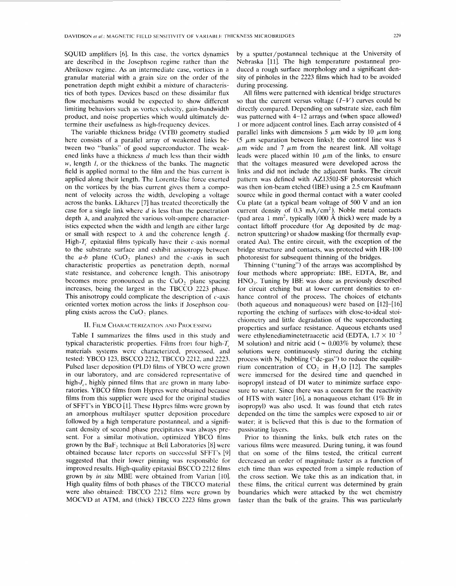<span id="page-1-0"></span>SQUID amplifiers [6]. In this case, the vortex dynamics are described in the Josephson regime rather than the Abrikosov regime. As an intermediate case, vortices in a granular material with a grain size on the order of the penetration depth might exhibit a mixture of characteristics of both types. Devices based on these dissimilar flux flow mechanisms would be expected to show different limiting behaviors such as vortex velocity, gain-bandwidth product, and noise properties which would ultimately determine their usefulness as high-frequency devices.

The variable thickness bridge (VTB) geometry studied here consists of a parallel array of weakened links between two "banks" of good superconductor. The weakened links have a thickness d much less than their width *w,* length *I,* or the thickness of the banks. The magnetic field is applied normal to the film and the bias current is applied along their length. The Lorentz-like force exerted on the vortices by the bias current gives them a component of velocity across the width, developing a voltage across the banks. Likharev [7] has treated theoretically the case for a single link where  $d$  is less than the penetration depth  $\lambda$ , and analyzed the various volt-ampere characteristics expected when the width and length are either large or small with respect to  $\lambda$  and the coherence length  $\xi$ . High- $T_c$  epitaxial films typically have their c-axis normal to the substrate surface and exhibit anisotropy between the *a-b* plane (CuO, planes) and the c-axis in such characteristic properties as penetration depth, normal state resistance, and coherence length. This anisotropy becomes more pronounced as the CuO, plane spacing increases, being the largest in the TBCCO 2223 phase. This anisotropy could complicate the description of  $c$ -axis oriented vortex motion across the links if Josephson coupling exists across the CuO, planes.

## **II. FILM CHARACTERIZATION AND PROCESSING**

Table I summarizes the films used in this study and typical characteristic properties. Films from four high- $T_c$ materials systems were characterized, processed. and tested: YBCO 123, BSCCO 2212, TBCCO 2212, and 2223. Pulsed laser deposition (PLD) films of YBCO were grown in our laboratory, and are considered representative of high-J<sub>c</sub>, highly pinned films that are grown in many laboratories. YBCO films from Hypres were obtained because films from this supplier were used for the original studies of SFFT's in YBCO [1]. These Hypres films were grown by an amorphous multilayer sputter deposition procedure followed by a high temperature postanneal, and a significant density of second phase precipitates was always present. For a similar motivation, optimized YBCO films grown by the BaF, technique at Bell Laboratories [8] were obtained because later reports on successful SFFT's [9] suggested that their lower pinning was responsible for improved results. High-quality epitaxial BSCCO 2212 films grown by *in situ* MBE were obtained from Varian [lo]. High quality films of both phases of the TBCCO material were also obtained: TBCCO 2212 films were grown by MOCVD at ATM, and (thick) TBCCO 2223 films grown by a sputter/postanneal technique at the University of Nebraska [11]. The high temperature postanneal produced a rough surface morphology and a significant density of pinholes in the *2223* films which had to be avoided during processing.

All films were patterned with identical bridge structures so that the current versus voltage  $(I-V)$  curves could be directly compared. Depending on substrate size, each film was patterned with 4-12 arrays and (when space allowed) I or more adjacent control lines. Each array consisted of 4 parallel links with dimensions 5  $\mu$ m wide by 10  $\mu$ m long (5  $\mu$ m separation between links); the control line was 8  $\mu$ m wide and 7  $\mu$ m from the nearest link. All voltage leads were placed within 10  $\mu$ m of the links, to ensure that the voltages measured were developed across the links and did not include the adjacent banks. The circuit pattern was defined with AZ1350J-SF photoresist which was then ion-beam etched (IBE) using a 2.5 cm Kaufmann source while in good thermal contact with a water cooled Cu plate (at a typical beam voltage of 500 **V** and an ion current density of  $0.3 \text{ mA/cm}^2$ ). Noble metal contacts (pad area 1 mm<sup>2</sup>, typically 1000  $\AA$  thick) were made by a contact liftoff procedure (for Ag deposited by dc magnetron sputtering) or shadow masking (for thermally evaporated Au). The entire circuit, with the exception of the bridge structure and contacts, was protected with HR-100 photoresist for subsequent thinning of the bridges.

Thinning ("tuning") of the arrays was accomplished by four methods where appropriate: IBE, EDTA, Br, and HNO,. Tuning by IBE was done as previously described for circuit etching but at lower current densities to enhance control of the process. The choices of etchants (both aqueous and nonaqueous) were based on  $[12]$ - $[16]$ reporting the etching of surfaces with close-to-ideal stoichiometry and little degradation of the superconducting properties and surface resistance. Aqueous etchants used were ethylenediaminetetraacetic acid (EDTA,  $1.7 \times 10^{-3}$ M solution) and nitric acid ( $\sim 0.003\%$  by volume); these solutions were continuously stirred during the etching process with N, bubbling ("de-gas") to reduce the equilibrium concentration of CO, in H,O [12]. The samples were immersed for the desired time and quenched in isopropyl instead of DI water to minimize surface exposure to water. Since there was a concern for the reactivity of HTS with water [16], a nonaqueous etchant (1% Br in isopropyl) was also used. It was found that etch rates depended on the time the samples were exposed to air or water; it is believed that this is due to the formation of passivating layers.

Prior to thinning the links, bulk etch rates on the various films were measured. During tuning, it was found that on some of the films tested, the critical current decreased an order of magnitude faster as a function of etch time than was expected from a simple reduction of the cross section. We take this as an indication that, in these films, the critical current was determined by grain boundaries which were attacked by the wet chemistry faster than the bulk of the grains. This was particularly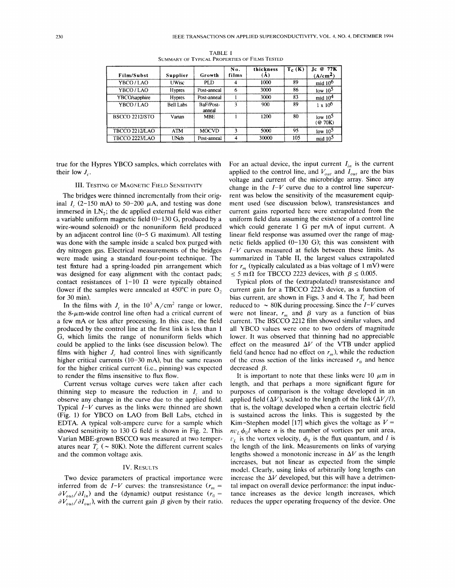|                       |                  |                     | No.   | thickness | $T_c$ (K) | @ 77K<br>Jс.                   |
|-----------------------|------------------|---------------------|-------|-----------|-----------|--------------------------------|
| Film/Subst            | Supplier         | Growth              | films | A         |           | A/cm <sup>2</sup>              |
| YBCO / LAO            | <b>UWisc</b>     | PLD.                |       | 1000      | 89        | mid $100$                      |
| YBCO/LAO              | <b>Hypres</b>    | Post-anneal         | 6     | 3000      | 86        | low $105$                      |
| YBCO/sapphire         | <b>Hypres</b>    | Post-anneal         |       | 3000      | 83        | mid $104$                      |
| YBCO/LAO              | <b>Bell Labs</b> | BaF/Post-<br>anneal |       | 900       | 89        | $1 \times 10^{6}$              |
| <b>BSCCO 2212/STO</b> | Varian           | <b>MBE</b>          |       | 1200      | 80        | low 10 <sup>5</sup><br>(@ 70K) |
| <b>TBCCO 2212/LAO</b> | ATM              | <b>MOCVD</b>        |       | 5000      | 95        | low $105$                      |
| TBCCO 2223/LAO        | UNeb             | Post-anneal         |       | 30000     | 105       | mid 10 <sup>5</sup>            |

**TABLE I SUMMARY** OF **TYPICAL PROPERTIES** OF **FILMS TESTED** 

true for the Hypres YBCO samples, which correlates with their low  $J_c$ .

## III. TESTING OF MAGNETIC FIELD SENSITIVITY

The bridges were thinned incrementally from their original  $I_c$  (2-150 mA) to 50-200  $\mu$ A, and testing was done immersed in  $LN<sub>2</sub>$ ; the dc applied external field was either a variable uniform magnetic field (0-130 G, produced by a wire-wound solenoid) or the nonuniform field produced by an adjacent control line (0-5 G maximum). All testing was done with the sample inside a sealed box purged with dry nitrogen gas. Electrical measurements of the bridges were made using a standard four-point technique. The test fixture had a spring-loaded pin arrangement which was designed for easy alignment with the contact pads; contact resistances of  $1-10$   $\Omega$  were typically obtained (lower if the samples were annealed at  $450^{\circ}$ C in pure O<sub>2</sub>, for 30 min).

In the films with  $J_c$  in the 10<sup>5</sup> A/cm<sup>2</sup> range or lower, the 8- $\mu$ m-wide control line often had a critical current of a few mA or less after processing. In this case, the field produced by the control line at the first link is less than 1 G, which limits the range of nonuniform fields which could be applied to the links (see discussion below). The films with higher  $J_c$  had control lines with significantly higher critical currents (10-30 mA), but the same reason for the higher critical current (i.e., pinning) was expected to render the films insensitive to flux flow.

Current versus voltage curves were taken after each thinning step to measure the reduction in *I,* and to observe any change in the curve due to the applied field. Typical  $I-V$  curves as the links were thinned are shown (Fig. 1) for YBCO on LAO from Bell Labs, etched in EDTA. A typical volt-ampere curve for a sample which showed sensitivity to 130 G field is shown in [Fig. 2.](#page-3-0) This Varian MBE-grown BSCCO was measured at two temperatures near  $T_c$  ( $\sim$  80K). Note the different current scales and the common voltage axis.

## IV. RESULTS

Two device parameters of practical importance were inferred from dc  $I-V$  curves: the transresistance  $(r_m =$  $\partial V_{out}/\partial I_{in}$  and the (dynamic) output resistance ( $r_0 =$  $\partial V_{out}/\partial I_{out}$ , with the current gain  $\beta$  given by their ratio. For an actual device, the input current  $I_{in}$  is the current applied to the control line, and  $V_{out}$  and  $\overline{I}_{out}$  are the bias voltage and current of the microbridge array. Since any change in the  $I-V$  curve due to a control line supercurrent was below the sensitivity of the measurement equipment used (see discussion below), transresistances and current gains reported here were extrapolated from the uniform field data assuming the existence of a control line which could generate 1 G per mA of input current. A linear field response was assumed over the range of magnetic fields applied  $(0-130 \text{ G})$ ; this was consistent with *Z-V* curves measured at fields between these limits. As summarized in Table 11, the largest values extrapolated for  $r_m$  (typically calculated as a bias voltage of 1 mV) were  $\leq$  5 m $\Omega$  for TBCCO 2223 devices, with  $\beta \leq 0.005$ .

Typical plots of the (extrapolated) transresistance and current gain for a TBCCO 2223 device, as a function of bias current, are shown in Figs. **3** and 4. The *T,* had been reduced to  $\sim 80$ K during processing. Since the *I-V* curves were not linear,  $r_m$  and  $\beta$  vary as a function of bias current. The BSCCO 2212 film showed similar values, and all YBCO values were one to two orders of magnitude lower. It was observed that thinning had no appreciable effect on the measured  $\Delta V$  of the VTB under applied field (and hence had no effect on  $r_m$ ), while the reduction of the cross section of the links increased  $r_0$  and hence decreased *β*.

It is important to note that these links were 10  $\mu$ m in length, and that perhaps a more significant figure for purposes of comparison is the voltage developed in an applied field  $(\Delta V)$ , scaled to the length of the link  $(\Delta V/l)$ , that is, the voltage developed when a certain electric field is sustained across the links. This is suggested by the Kim-Stephen model [17] which gives the voltage as  $V =$  $nv_l \phi_0 l$  where *n* is the number of vortices per unit area,  $v<sub>L</sub>$  is the vortex velocity,  $\phi_0$  is the flux quantum, and l is the length of the link. Measurements on links of varying lengths showed a monotonic increase in  $\Delta V$  as the length increases, but not linear as expected from the simple model. Clearly, using links of arbitrarily long lengths can increase the  $\Delta V$  developed, but this will have a detrimental impact on overall device performance: the input inductance increases as the device length increases, which reduces the upper operating frequency of the device. One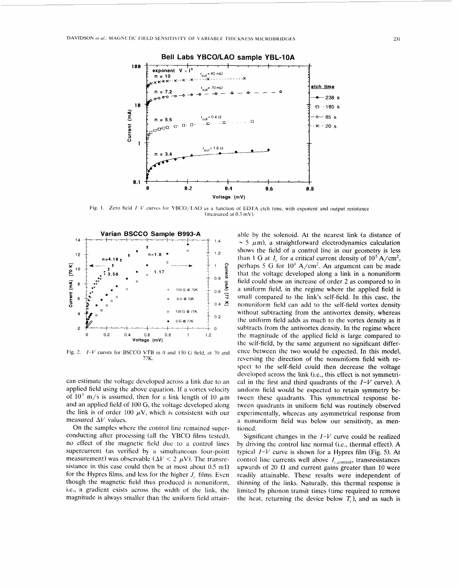<span id="page-3-0"></span>

Fig. 1. Zero field *I-V* curves for YBCO/LAO as a function of EDTA etch time, with exponent and output resistance (mcasured at *0.3* mV).



Fig. 2. *I-V* curves for BSCCO VTB in *0* and 130 G field, at 70 and 77K.

can estimate the voltage developed across a link due to an applied field using the above equation. If a vortex velocity of  $10^3$  m/s is assumed, then for a link length of 10  $\mu$ m and an applied field of 100 G, the voltage developed along the link is of order 100  $\mu$ V, which is consistent with our measured  $\Delta V$  values.

On the samples where the control line remained superconducting after processing (all the YBCO films tested), no effect of the magnetic field due to a control lines supercurrent (as verified by a simultaneous four-point measurement) was observable ( $\Delta V < 2 \mu V$ ). The transresistance in this case could then be at most about  $0.5 \text{ m}\Omega$ for the Hypres films, and less for the higher  $J_c$  films. Even though the magnetic field thus produced is nonuniform, i.e., a gradient exists across the width of the link, the magnitude is always smaller than the uniform field attainable by the solenoid. At the nearest link (a distance of  $\sim$  5  $\mu$ m), a straightforward electrodynamics calculation shows the field of a control line in our geometry is less than 1 G at *I<sub>c</sub>* for a critical current density of  $10^5$  A/cm<sup>2</sup>, perhaps 5 G for  $10^6$  A/cm<sup>2</sup>. An argument can be made that the voltage developed along a link in a nonuniform field could show an increase of order 2 as compared to in a uniform field, in the regime where the applied field is small compared to the link's self-field. In this case, the nonuniform field can add to the self-field vortex density without subtracting from the antivortex density, whereas the uniform field adds as much to the vortex density as it subtracts from the antivortex density. In the regime where the magnitude of the applied field is large compared to the self-field, by the same argument no significant difference between the two would be expected. In this model, reversing the direction of the nonuniform field with respect to the self-field could then decrease the voltage developed across the link (i.e., this effect is not symmetrical in the first and third quadrants of the *I-V* curve). **A**  uniform field would be expected *to* retain symmetry **be**tween these quadrants. This symmetrical response between quadrants in uniform field was routinely observed experimentally, whereas any asymmetrical response from a nonuniform field was below our sensitivity, as mentioned.

Significant changes in the  $I-V$  curve could be realized by driving the control line normal (i.e., thermal effect). A typical *I-V* curve is shown for a Hypres film (Fig. *5).* At control line currents well above  $I_{c,control}$ , transresistances upwards of 20  $\Omega$  and current gains greater than 10 were readily attainable. These results were independent of thinning of the links. Naturally, this thermal response is limited by phonon transit times (time required to remove the heat, returning the device below  $T_c$ ), and as such is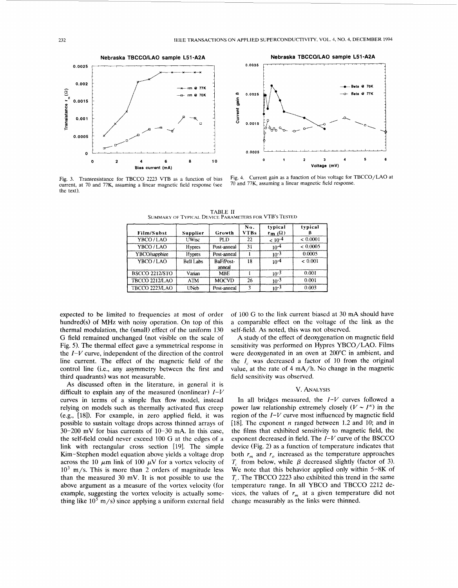



Fig. 3. Transresistance for TBCCO 2223 VTB as a function of bias current, at 70 and 77K, assuming a linear magnetic field response (see the text)

Fig. 4. Current gain as a function of bias voltage for TBCCO/LAO at 70 and 77K, assuming a linear magnetic field response.

| Film/Subst            | Supplier         | Growth              | No.<br>VTBs | typical<br>$\mathbf{r}_{\mathbf{m}}(\Omega)$ | typical         |
|-----------------------|------------------|---------------------|-------------|----------------------------------------------|-----------------|
| YBCO/LAO              | <b>UWisc</b>     | PLD.                | 22          | $\sim$ 10 $^{\circ}$                         | ${}_{< 0.0001}$ |
| YBCO/LAO              | <b>Hypres</b>    | Post-anneal         | 31          | 104                                          | < 0.0005        |
| YBCO/sapphire         | <b>Hypres</b>    | Post-anneal         |             | 10-3                                         | 0.0005          |
| YBCO/LAO              | <b>Bell Labs</b> | BaF/Post-<br>anneal | 18          | $10^{-4}$                                    | < 0.001         |
| <b>BSCCO 2212/STO</b> | Varian           | <b>MBE</b>          |             | 3-∩،                                         | 0.001           |

**MOCVE** 

Post-anneal

 $\overline{26}$ 

7

 $10^{-3}$ 

 $\frac{1}{10^{-3}}$ 

**ATM** 

UNeb

TABLE **I1**  .<br>Teds for VTB's Tested

expected to be limited to frequencies at most of order hundred(s) of MHz with noisy operation. On top of this thermal modulation, the (small) effect of the uniform 130 G field remained unchanged (not visible on the scale of Fig. *5).* The thermal effect gave a symmetrical response in the  $I-V$  curve, independent of the direction of the control line current. The effect of the magnetic field of the control line (i.e., any asymmetry between the first and third quadrants) was not measurable.

TBCCO 2212/LAO

**TBCCO 2223/LAO** 

**As** discussed often in the literature, in general it is difficult to explain any of the measured (nonlinear)  $I-V$ curves in terms of a simple flux flow model, instead relying on models such as thermally activated flux creep (e.g., **[IS]).** For example, in zero applied field, it was possible to sustain voltage drops across thinned arrays of 30-200 mV for bias currents of 10-30 mA. In this case, the self-field could never exceed 100 G at the edges of a link with rectangular cross section [19]. The simple Kim-Stephen model equation above yields a voltage drop across the 10  $\mu$ m link of 100  $\mu$ V for a vortex velocity of  $10<sup>3</sup>$  m/s. This is more than 2 orders of magnitude less than the measured 30 mV. It is not possible to use the above argument as a measure of the vortex velocity (for example, suggesting the vortex velocity is actually something like  $10^5$  m/s) since applying a uniform external field of 100 G to the link current biased at 30 mA should have a comparable effect on the voltage of the link as the self-field. As noted, this was not observed.

 $0.001$ 

 $0.003$ 

**A** study of the effect of deoxygenation on magnetic field sensitivity was performed on Hypres YBCO/LAO. Films were deoxygenated in an oven at 200°C in ambient, and the  $I_c$  was decreased a factor of 10 from the original value, at the rate of 4 mA/h. No change in the magnetic field sensitivity was observed.

### v. **ANALYSIS**

In all bridges measured, the  $I-V$  curves followed a power law relationship extremely closely  $(V \sim I^n)$  in the region of the  $I-V$  curve most influenced by magnetic field [18]. The exponent *n* ranged between 1.2 and 10; and in the films that exhibited sensitivity to magnetic field, the exponent decreased in field. The  $I-V$  curve of the BSCCO device (Fig. 2) as a function of temperature indicates that both  $r_m$  and  $r_o$  increased as the temperature approaches  $T_c$  from below, while  $\beta$  decreased slightly (factor of 3). We note that this behavior applied only within **5-8K** of *T,* . The TBCCO 2223 also exhibited this trend in the same temperature range. In all YBCO and TBCCO 2212 devices, the values of  $r_m$  at a given temperature did not change measurably as the links were thinned.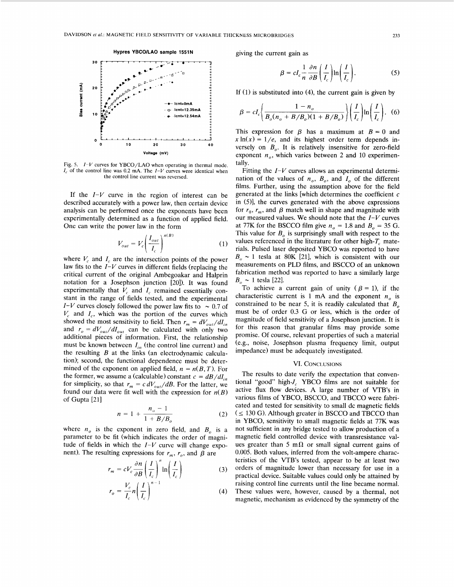

Fig. *5. I-V* curves for **YBCO/LAO** when operating in thermal mode.  $I_c$  of the control line was 0.2 mA. The  $I-V$  curves were identical when the control line current was reversed.

If the *I-V* curve in the region of interest can be described accurately with a power law, then certain device analysis can be performed once the exponents have been experimentally determined as a function of applied field. One can write the power law in the form

$$
V_{out} = V_c \left(\frac{I_{out}}{I_c}\right)^{n(B)}\tag{1}
$$

where  $V_c$  and  $I_c$  are the intersection points of the power law fits to the  $I-V$  curves in different fields (replacing the critical current of the original Ambegoakar and Halprin notation for a Josephson junction 1201). It was found experimentally that  $V_c$  and  $I_c$  remained essentially constant in the range of fields tested, and the experimental *I-V* curves closely followed the power law fits to  $\sim 0.7$  of  $V_c$  and  $I_c$ , which was the portion of the curves which showed the most sensitivity to field. Then  $r_m = dV_{out}/dI_{in}$ and  $r_o = dV_{out}/dI_{out}$  can be calculated with only two additional pieces of information. First, the relationship must be known between  $I_{in}$  (the control line current) and the resulting *B* at the links (an electrodynamic calculation); second, the functional dependence must be determined of the exponent on applied field,  $n = n(B, T)$ . For the former, we assume a (calculable) constant  $c = dB/dI_{in}$ for simplicity, so that  $r_m = c dV_{out}/dB$ . For the latter, we found our data were fit well with the expression for  $n(B)$ of Gupta [21]

$$
n = 1 + \frac{n_o - 1}{1 + B/B_o}
$$
 (2)

where  $n<sub>o</sub>$  is the exponent in zero field, and  $B<sub>o</sub>$  is a parameter to be fit (which indicates the order of magnitude of fields in which the  $I-V$  curve will change exponent). The resulting expressions for  $r_m$ ,  $r_o$ , and  $\beta$  are *r*,  $\pi$  is the *r*-*V* curve will change exposing expressions for  $r_m$ ,  $r_o$ , and  $\beta$  are  $r_m = cV_c \frac{\partial n}{\partial \beta} \left(\frac{I}{I_c}\right)^n \ln\left(\frac{I}{I_c}\right)$  (3)

$$
r_m = cV_c \frac{\partial n}{\partial B} \left( \frac{I}{I_c} \right)^n \ln \left( \frac{I}{I_c} \right)
$$
 (3)

$$
r_o = \frac{v_c}{I_c} n \left( \frac{I}{I_c} \right) \tag{4}
$$

giving the current gain as

$$
\beta = cI_c \frac{1}{n} \frac{\partial n}{\partial B} \left( \frac{I}{I_c} \right) \ln \left( \frac{I}{I_c} \right). \tag{5}
$$

If *(1)* is substituted into (4), the current gain is given by

$$
\beta = cI_c \bigg( \frac{1 - n_o}{B_o (n_o + B/B_o)(1 + B/B_o)} \bigg) \bigg( \frac{I}{I_c} \bigg) \ln \bigg( \frac{I}{I_c} \bigg). \tag{6}
$$

This expression for  $\beta$  has a maximum at  $B = 0$  and  $x \ln(x) = 1/e$ , and its highest order term depends inversely on  $B<sub>o</sub>$ . It is relatively insensitive for zero-field exponent  $n_{o}$ , which varies between 2 and 10 experimentally.

Fitting the *I-V* curves allows an experimental determination of the values of  $n_o$ ,  $B_o$ , and  $I_o$  of the different films. Further, using the assumption above for the field generated at the links [which determines the coefficient  $c$ in  $(5)$ , the curves generated with the above expressions for  $r_0$ ,  $r_m$ , and  $\beta$  match well in shape and magnitude with our measured values. We should note that the *I-V* curves at 77K for the BSCCO film give  $n<sub>o</sub> = 1.8$  and  $B<sub>o</sub> = 35$  G. This value for  $B<sub>o</sub>$  is surprisingly small with respect to the values referenced in the literature for other high- $T_c$  materials. Pulsed laser deposited YBCO was reported to have  $B_0 \sim 1$  tesla at 80K [21], which is consistent with our measurements on PLD films, and BSCCO of an unknown fabrication method was reported to have a similarly large  $B_o \sim 1$  tesla [22].

To achieve a current gain of unity  $(\beta = 1)$ , if the characteristic current is 1 mA and the exponent  $n<sub>o</sub>$  is constrained to be near 5, it is readily calculated that  $B_0$ must be of order 0.3 G or less, which is the order of magnitude of field sensitivity of a Josephson junction. It is for this reason that granular films may provide some promise. Of course, relevant properties of such a material (e.g., noise, Josephson plasma frequency limit, output impedance) must be adequately investigated.

## VI. CONCLUSIONS

The results to date verify the expectation that conventional "good" high-J, YBCO films are not suitable for active flux flow devices. A large number of VTB's in various films of YBCO, BSCCO, and TBCCO were fabricated and tested for sensitivity to small dc magnetic fields  $( $\leq$  130 G). Although greater in BSCCO and TBCCO than$ in YBCO, sensitivity to small magnetic fields at 77K was not sufficient in any bridge tested to allow production of a magnetic field controlled device with transresistance values greater than 5 m $\Omega$  or small signal current gains of 0.005. Both values, inferred from the volt-ampere characteristics of the VTB's tested, appear to be at least two orders of magnitude lower than necessary for use in a practical device. Suitable values could only be attained by raising control line currents until the line became normal. These values were, however, caused by a thermal, not magnetic, mechanism as evidenced by the symmetry of the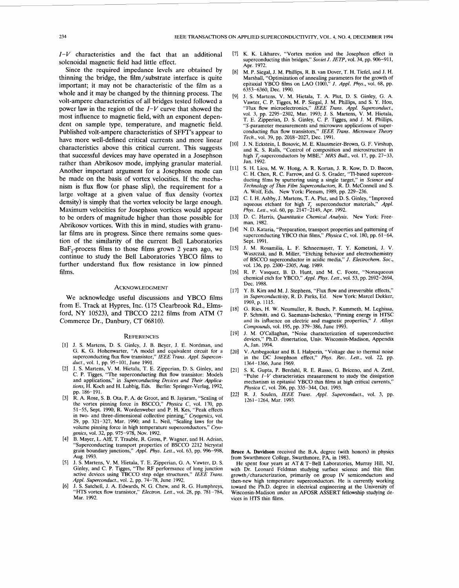*I-I/* characteristics and the fact that an additional solenoidal magnetic field had little effect.

Since the required impedance levels are obtained by thinning the bridge, the film/substrate interface is quite important; it may not be characteristic of the film as a whole and it may be changed by the thinning process. The volt-ampere characteristics of all bridges tested followed a power law in the region of the *I-I/* curve that showed the most influence to magnetic field, with an exponent dependent on sample type, temperature, and magnetic field. Published volt-ampere characteristics of **SFFT's** appear to have more well-defined critical currents and more linear characteristics above this critical current. This suggests that successful devices may have operated in a Josephson rather than Abrikosov mode, implying granular material. Another important argument for a Josephson mode can be made on the basis of vortex velocities. If the mechanism **is flux** flow (or phase slip), the requirement for a large voltage at a given value of flux density (vortex density) is simply that the vortex velocity be large enough. Maximum velocities for Josephson vortices would appear to be orders of magnitude higher than those possible for Abrikosov vortices. With this in mind, studies with granular films are in progress. Since there remains some question of the similarity of the current Bell Laboratories  $BaF<sub>2</sub>$ -process films to those films grown 2 years ago, we continue to study the Bell Laboratories YBCO films to further understand flux flow resistance in low pinned films.

### **ACKNOWLEDGMENT**

We acknowledge useful discussions and YBCO films from E. Track at Hypres, Inc. (175 Clearbrook Rd., Elmsford, *NY* 10523), and TBCCO 2212 films from ATM (7 Commerce Dr., Danbury, *CT* 06810).

#### **REFERENCES**

- J. **S.** Martens, D. **S.** Ginley, J. B. Beyer, J. E. Nordman, and G. K. G. Hohenwarter, "A model and equivalent circuit for a superconducting flux flow transistor," *IEEE Trans. Appl. Superconduct.,* vol. 1, pp. 95-101, June 1991.
- $[2]$ **J. S.** Martens, V. M. Hietala, T. **E.** Zipperian, D. S. Ginley, and C. P. Tigges, "The superconducting flux flow transistor: Models and applications," in *Superconducting Deuices and Their Applications,* H. Koch and H. Lubbig, Eds. Berlin: Springer-Verlag, 1992, pp. 186-191.
- R. A. Rose, **S.** B. Ota, P. A. de Groot, and B. Jayaram, "Scaling of the vortex pinning force in BSCCO," *Physica C,* vol. 170, pp. 51-55, Sept. 1990; R. Wordenweber and P. H. Kes, "Peak effects in two- and three-dimensional collective pinning," *Cryogenics,* vol. 29, pp. 321-327, Mar. 1990; and L. Neil, "Scaling laws for the volume pinning force in high temperature superconductors," *Cryogenics,* vol. 32, pp. 975-978, Nov. 1992.
- B. Mayer, L. **Alff,** T. Trauble, R. Gross, P. Wagner, and H. Adrian,  $[4]$ "Superconducting transport properties of BSCCO 2212 bicrystal grain boundary junctions," *Appl. Phys.* **Letf.,** vol. 63, pp. 996-998, Aug. 1993.
- $[5]$ J. **S.** Martens, V. M. Hietala, T. E. Zipperian, G. A. Vawter, D. **S.**  Ginley, and C. **P.** Tigges, "The RF performance of long junction active devices using TBCCO step edge structures," *IEEE Trans. Appl. Superconduct.,* vol. 2, pp. 74-78, June 1992.
- $[6]$ J. **S.** Satchell, J. A. Edwards, N. G. Chew, and R. G. Humphreys, "HTS vortex flow transistor," *Electron. Left.,* vol. 28, pp. 781-784, Mar. 1992.
- [7] K. K. Likharev, "Vortex motion and the Josephson effect in superconducting thin bridges," *Soviet J. JETP*, vol. 34, pp. 906-911, Apr. 1972.
- $[8]$ M. P. Siegal, J. M. Phillips, R. B. van Dover, T. **H.** Tiefel, and J. H. Marshall, "Optimization of annealing parameters for the growth of epitaxial YBCO films on LAO (loo),'' *J. Appl. Phys.,* vol. 68, pp. 6353-6360, Dec. 1990.
- $[9]$ J. **S.** Martens, V. M. Hietala, T. A. Plut, D. **S.** Ginley, G. A. Vawter, C. P. Tigges, M. P. Siegal, **J.** M. Phillips, and **S.** Y. Hou, "Flux flow microelectronics," *fEEE Trans. Appl. Superconduct.,*  vol. 3, pp. 2295-2302, Mar. 1993; J. **S.** Martens, V. M. Hietala, T. E. Zipperian, D. **S.** Ginley, C. P. Tigges, and J. M. Phillips, "S-parameter measurements and microwave applications of superconducting flux flow transistors," *IEEE Trans. Microwave Theory Tech.,* vol. 39, pp. 2018-2027, Dec. 1991.
- J. N. Eckstein, I. Bosovic, M. **E.** Klausmeier-Brown, G. F. Virshup, and K. S. Ralls, "Control of composition and microstructure in high  $T_c$ -superconductors by MBE," *MRS Bull.*, vol. 17, pp. 27–33, Jan. 1992.
- $[11]$ **S. H.** Liou, M. W. Hong, A. R. Kortan, J. R. Kow, D. D. Bacon, C. H. Chen, R. C. Farrow, and G. **S.** Grader, "TI-based superconducting films by sputtering using a single target," in *Science and Technology of Thin Film Superconductors,* **R.** D. McConnell and **S.**  A. Wolf, Eds. New York: Plenum, 1989, [pp. 229-236.](#page-1-0)
- [12] C. I. H. Ashby, J. Martens, T. A. Plut, and D. S. Ginley, "Improved aqueous etchant for high T. superconductor materials." *Appl.* aqueous etchant for high *T,* superconductor materials," *Appl. Phys. Lett.,* vol. 60, pp. 2147-2149, Apr. 1992.
- D. C. Harris, *Quantitatiue Chemical Analysis.* New York: Freeman, 1982.
- $[14]$ N. D. Kataria, "Preparation, transport properties and patterning of superconducting YBCO thin films," *Physica* C, vol. 180, pp. 61-64, Sept. 1991.
- $[15]$ J. M. Rosamilia, L. **F.** Schneemayer, T. Y. Kometani, J. V. Waszczak, and B. Miller, "Etching behavior and electrochemistry of BSCCO superconductor in acidic media," *J. Electrochem. Soc.,*  vol. 136, pp. 2300-2305, Aug. 1989.
- R. P. Vasquez, B. D. Hunt, and M. C. Foote, "Nonaqueous chemical etch for YBCO," *Appl. Phys. Lett.,* vol. 53, pp. 2692-2694, Dec. 1988.
- **Y.** B. **Kim** and M. J. Stephens, "Flux flow and irreversible effects,"  $[17]$ in *Superconductivity*, R. D. Parks, Ed. New York: Marcel Dekker, 1969, p. 1115.
- $[18]$ G. Ries, H. W. Neumuller, R. Busch, P. Kummeth, M. Leghissa, P. Schmitt, and G. Saemann-Ischenko, "Pinning energy in HTSC and its influence on electric and magnetic properties," *J. Alloys Compounds,* vol. 195, pp. 379-386, June 1993.
- [19] J. M. O'Callaghan, "Noise characterization of superconductive devices," Ph.D. dissertation, Univ. Wisconsin-Madison, Appendix A, Jan. 1994.
- V. Ambegaokar and B. I. Halperin, "Voltage due to thermal noise  $[20]$ in the DC Josephson effect," *Phys. Reu. Lett.,* vol. 22, pp. 1364-1366, June 1969.
- $[21]$ S. K. Gupta, P. Berdahl, R. E. **Russo,** G. Briceno, and A. Zettl, "Pulse *I-V* characteristics measurement to study the dissipation mechanism in epitaxial YBCO thin films at high critical currents," *Physica* C, vol. 206, pp. 335-344, Oct. 1993.
- R. J. Soulen, *IEEE Trans. Appl. Superconduct.,* vol. 3, pp.  $[22]$ 1261-1264, Mar. 1993.

**Bruce A. Davidson** received the B.A. degree (with honors) in physics from Swarthmore College, Swarthmore, PA, in 1983.

He spent four years at AT & T-Bell Laboratories, Murray Hill, NJ, with Dr. Leonard Feldman studying surface science and thin film growth/characterization, primarily on group IV semiconductors and then-new high temperature superconductors. He is currently working toward the Ph.D. degree in electrical engineering at the University of Wisconsin-Madison under an AFOSR ASSERT fellowship studying devices in HTS thin films.